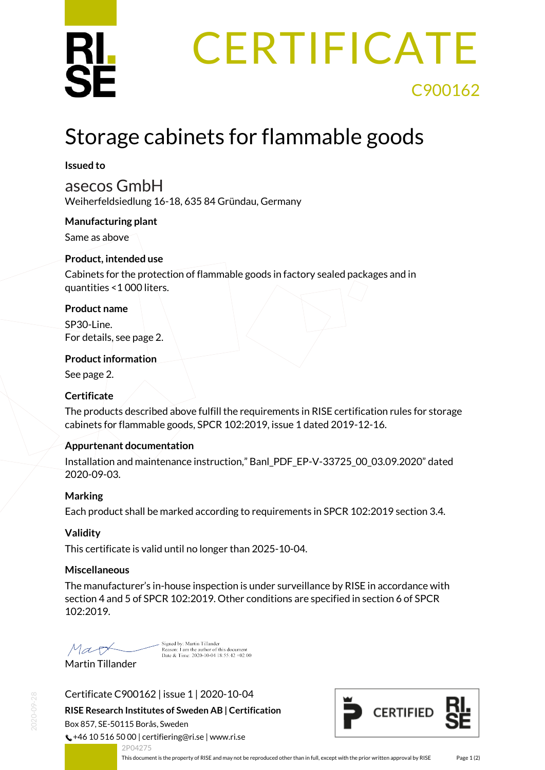

# **CERTIFICATE** C900162

## Storage cabinets for flammable goods

#### **Issued to**

asecos GmbH

Weiherfeldsiedlung 16-18, 635 84 Gründau, Germany

#### **Manufacturing plant**

Same as above

#### **Product, intended use**

Cabinets for the protection of flammable goods in factory sealed packages and in quantities <1 000 liters.

#### **Product name**

SP30-Line. For details, see page 2.

#### **Product information**

See page 2.

### **Certificate**

The products described above fulfill the requirements in RISE certification rules for storage cabinets for flammable goods, SPCR 102:2019, issue 1 dated 2019-12-16.

### **Appurtenant documentation**

Installation and maintenance instruction," Banl\_PDF\_EP-V-33725\_00\_03.09.2020" dated 2020-09-03.

### **Marking**

Each product shall be marked according to requirements in SPCR 102:2019 section 3.4.

### **Validity**

This certificate is valid until no longer than 2025-10-04.

#### **Miscellaneous**

The manufacturer's in-house inspection is under surveillance by RISE in accordance with section 4 and 5 of SPCR 102:2019. Other conditions are specified in section 6 of SPCR 102:2019.

Mart

Signed by: Martin Tillander<br>Reason: 1 am the author of this document<br>Date & Time: 2020-10-04 18:55:42 +02:00

Martin Tillander

Certificate C900162 | issue 1 | 2020-10-04

**RISE Research Institutes of Sweden AB | Certification** Box 857, SE-50115 Borås, Sweden

 $\binom{1}{2}$  +46 10 516 50 00 | certifiering@ri.se | www.ri.se 2P04275

<span id="page-0-0"></span>